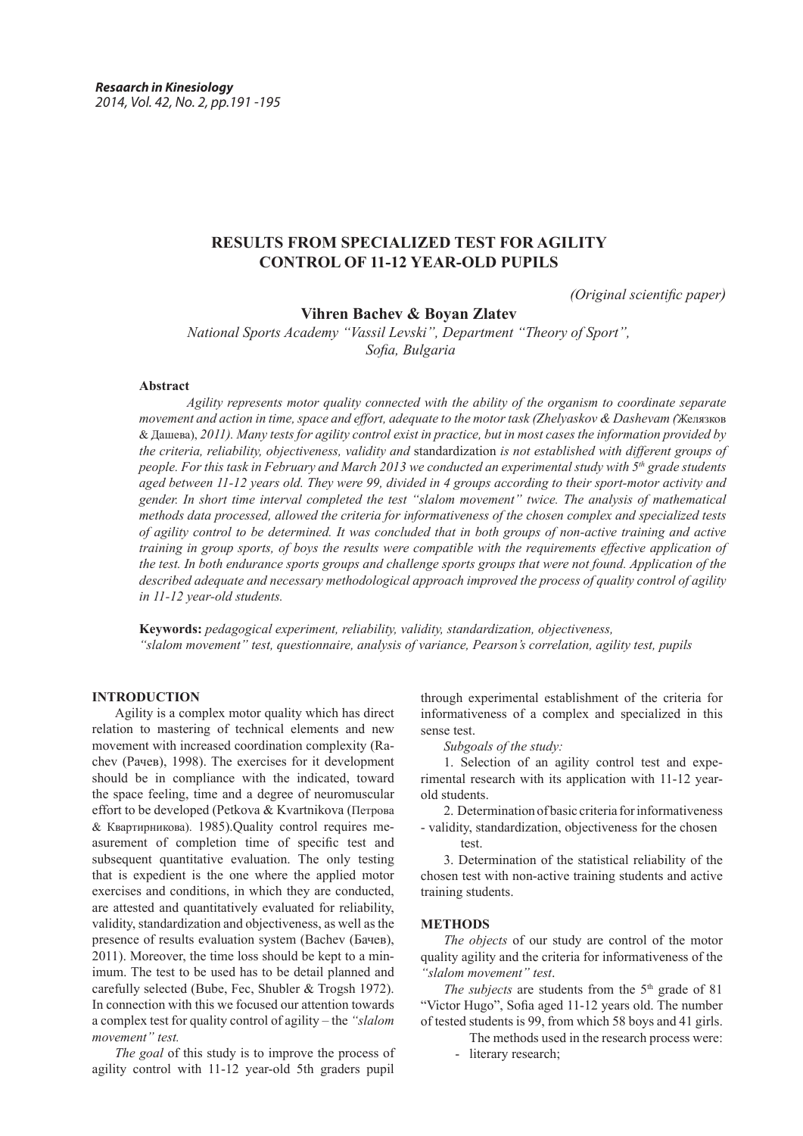# **RESULTS FROM SPECIALIZED TEST FOR AGILITY CONTROL OF 11-12 YEAR-OLD PUPILS**

*(Original scientific paper)*

**Vihren Bachev & Boyan Zlatev**

*National Sports Academy "Vassil Levski", Department "Theory of Sport", Sofia, Bulgaria*

### **Abstract**

*Agility represents motor quality connected with the ability of the organism to coordinate separate movement and action in time, space and effort, adequate to the motor task (Zhelyaskov & Dashevam (*Желязков & Дашева), *2011). Many tests for agility control exist in practice, but in most cases the information provided by the criteria, reliability, objectiveness, validity and* standardization *is not established with different groups of people. For this task in February and March 2013 we conducted an experimental study with 5<sup>th</sup> grade students aged between 11-12 years old. They were 99, divided in 4 groups according to their sport-motor activity and gender. In short time interval completed the test "slalom movement" twice. The analysis of mathematical methods data processed, allowed the criteria for informativeness of the chosen complex and specialized tests of agility control to be determined. It was concluded that in both groups of non-active training and active training in group sports, of boys the results were compatible with the requirements effective application of the test. In both endurance sports groups and challenge sports groups that were not found. Application of the described adequate and necessary methodological approach improved the process of quality control of agility in 11-12 year-old students.*

**Keywords:** *pedagogical experiment, reliability, validity, standardization, objectiveness, "slalom movement" test, questionnaire, analysis of variance, Pearson's correlation, agility test, pupils*

#### **INTRODUCTION**

Аgility is a complex motor quality which has direct relation to mastering of technical elements and new movement with increased coordination complexity (Rachev (Рачев), 1998). The exercises for it development should be in compliance with the indicated, toward the space feeling, time and a degree of neuromuscular effort to be developed (Petkova & Kvartnikova (Петрова & Квартирникова). 1985).Quality control requires measurement of completion time of specific test and subsequent quantitative evaluation. The only testing that is expedient is the one where the applied motor exercises and conditions, in which they are conducted, are attested and quantitatively evaluated for reliability, validity, standardization and objectiveness, as well as the presence of results evaluation system (Bachev (Бачев), 2011). Moreover, the time loss should be kept to a minimum. The test to be used has to be detail planned and carefully selected (Bube, Fec, Shubler & Trogsh 1972). In connection with this we focused our attention towards a complex test for quality control of agility – the *"slalom movement" test.*

*The goal* of this study is to improve the process of agility control with 11-12 year-old 5th graders pupil

through experimental establishment of the criteria for informativeness of a complex and specialized in this sense test.

*Subgoals of the study:*

1. Selection of an agility control test and experimental research with its application with 11-12 yearold students.

2. Determination of basic criteria for informativeness - validity, standardization, objectiveness for the chosen

3. Determination of the statistical reliability of the chosen test with non-active training students and active training students.

#### **METHODS**

test.

*The objects* of our study are control of the motor quality agility and the criteria for informativeness of the *"slalom movement" test*.

*The subjects* are students from the  $5<sup>th</sup>$  grade of 81 "Victor Hugo", Sofia aged 11-12 years old. The number of tested students is 99, from which 58 boys and 41 girls.

The methods used in the research process were:

- literary research;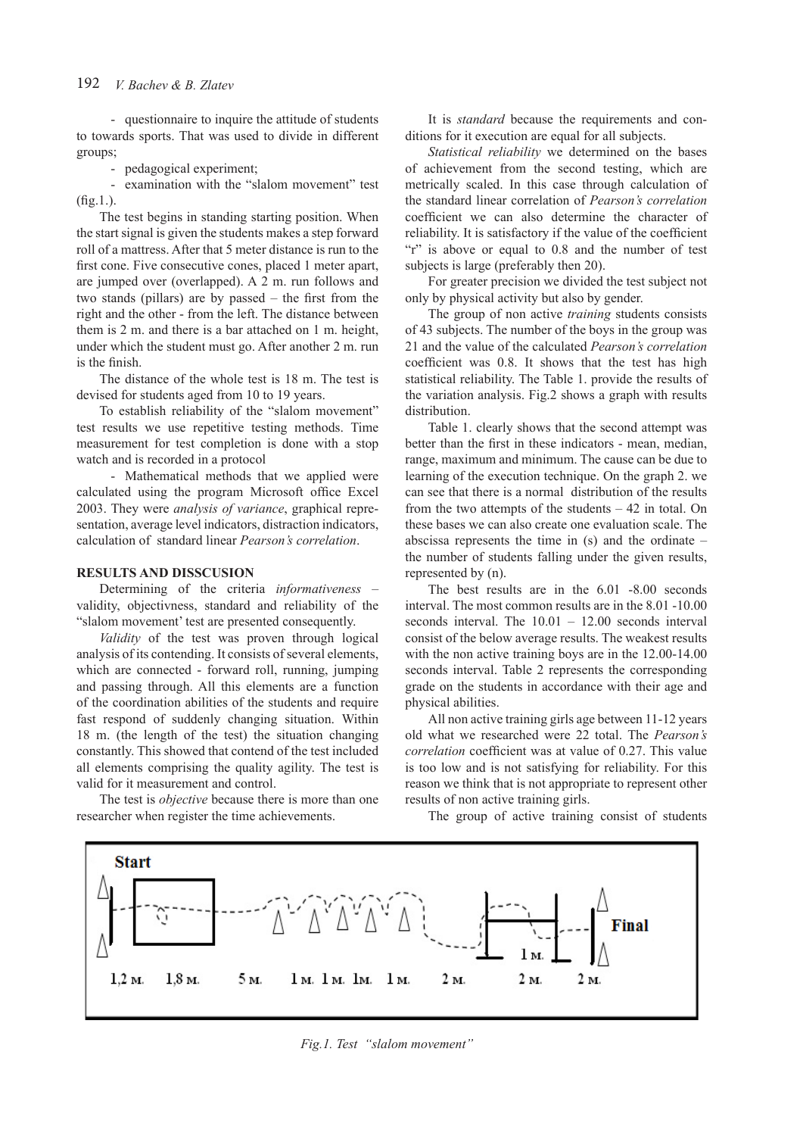- questionnaire to inquire the attitude of students to towards sports. That was used to divide in different groups;

- pedagogical experiment;

- examination with the "slalom movement" test  $(fig.1)$ .

The test begins in standing starting position. When the start signal is given the students makes a step forward roll of a mattress. After that 5 meter distance is run to the first cone. Five consecutive cones, placed 1 meter apart, are jumped over (overlapped). A 2 m. run follows and two stands (pillars) are by passed – the first from the right and the other - from the left. The distance between them is 2 m. and there is a bar attached on 1 m. height, under which the student must go. After another 2 m. run is the finish.

The distance of the whole test is 18 m. The test is devised for students aged from 10 to 19 years.

To establish reliability of the "slalom movement" test results we use repetitive testing methods. Time measurement for test completion is done with a stop watch and is recorded in a protocol

- Mathematical methods that we applied were calculated using the program Microsoft office Excel 2003. They were *analysis of variance*, graphical representation, average level indicators, distraction indicators, calculation of standard linear *Pearson's correlation*.

## **RESULTS AND DISSCUSION**

Determining of the criteria *informativeness* – validity, objectivness, standard and reliability of the "slalom movement' test are presented consequently.

*Validity* of the test was proven through logical analysis of its contending. It consists of several elements, which are connected - forward roll, running, jumping and passing through. All this elements are a function of the coordination abilities of the students and require fast respond of suddenly changing situation. Within 18 m. (the length of the test) the situation changing constantly. This showed that contend of the test included all elements comprising the quality agility. The test is valid for it measurement and control.

The test is *objective* because there is more than one researcher when register the time achievements.

It is *standard* because the requirements and conditions for it execution are equal for all subjects.

*Statistical reliability* we determined on the bases of achievement from the second testing, which are metrically scaled. In this case through calculation of the standard linear correlation of *Pearson's correlation* coefficient we can also determine the character of reliability. It is satisfactory if the value of the coefficient "r" is above or equal to 0.8 and the number of test subjects is large (preferably then 20).

For greater precision we divided the test subject not only by physical activity but also by gender.

The group of non active *training* students consists of 43 subjects. The number of the boys in the group was 21 and the value of the calculated *Pearson's correlation* coefficient was 0.8. It shows that the test has high statistical reliability. The Table 1. provide the results of the variation analysis. Fig.2 shows a graph with results distribution.

Table 1. clearly shows that the second attempt was better than the first in these indicators - mean, median, range, maximum and minimum. The cause can be due to learning of the execution technique. On the graph 2. we can see that there is a normal distribution of the results from the two attempts of the students – 42 in total. On these bases we can also create one evaluation scale. The abscissa represents the time in (s) and the ordinate – the number of students falling under the given results, represented by (n).

The best results are in the 6.01 -8.00 seconds interval. The most common results are in the 8.01 -10.00 seconds interval. The 10.01 – 12.00 seconds interval consist of the below average results. The weakest results with the non active training boys are in the 12.00-14.00 seconds interval. Table 2 represents the corresponding grade on the students in accordance with their age and physical abilities.

All non active training girls age between 11-12 years old what we researched were 22 total. The *Pearson's correlation* coefficient was at value of 0.27. This value is too low and is not satisfying for reliability. For this reason we think that is not appropriate to represent other results of non active training girls.

The group of active training consist of students



*Fig.1. Test "slalom movement"*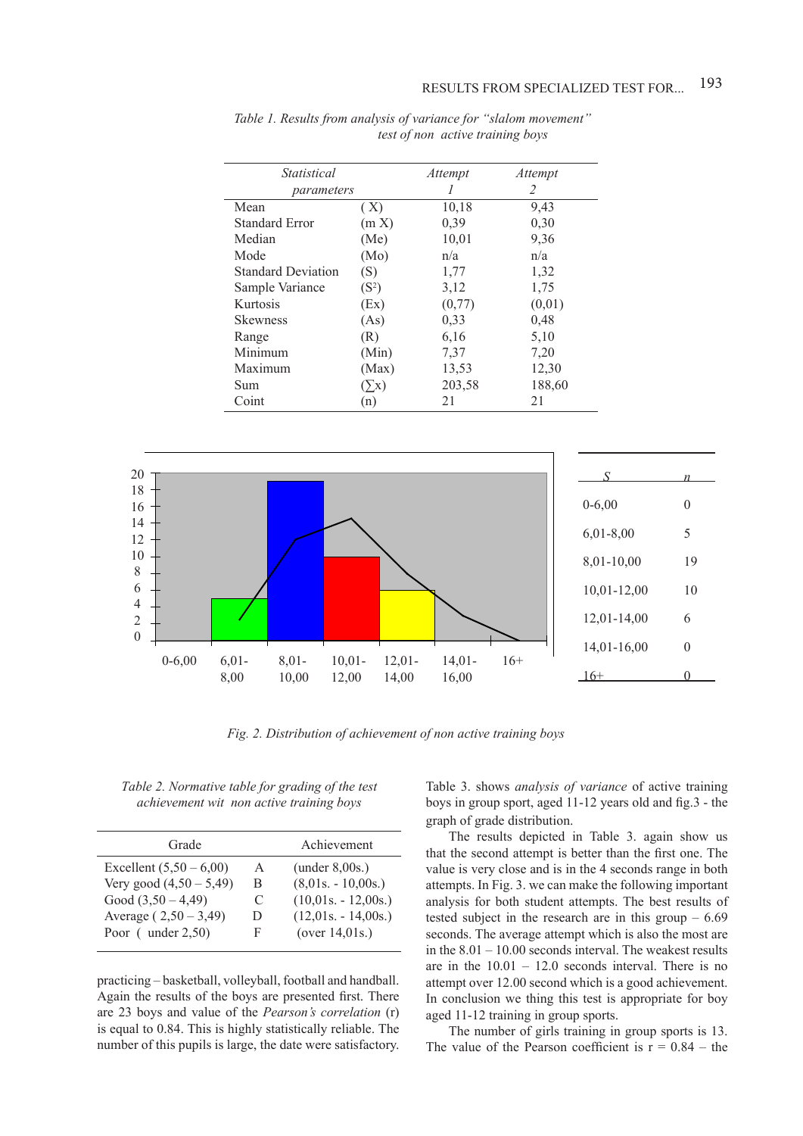| <i>Statistical</i>        |                     | Attempt | Attempt |
|---------------------------|---------------------|---------|---------|
| parameters                |                     |         | 2       |
| Mean                      | (X)                 | 10,18   | 9.43    |
| <b>Standard Error</b>     | (m X)               | 0,39    | 0,30    |
| Median                    | (Me)                | 10,01   | 9,36    |
| Mode                      | (Mo)                | n/a     | n/a     |
| <b>Standard Deviation</b> | (S)                 | 1,77    | 1,32    |
| Sample Variance           | $(S^2)$             | 3,12    | 1,75    |
| Kurtosis                  | (EX)                | (0,77)  | (0,01)  |
| <b>Skewness</b>           | (As)                | 0,33    | 0,48    |
| Range                     | (R)                 | 6,16    | 5,10    |
| Minimum                   | (Min)               | 7,37    | 7,20    |
| Maximum                   | (Max)               | 13,53   | 12,30   |
| Sum                       | $\langle x \rangle$ | 203,58  | 188,60  |
| Coint                     | (n)                 | 21      | 21      |

*Table 1. Results from analysis of variance for "slalom movement" test of non active training boys*



 *Fig. 2. Distribution оf achievement оf non active training boys*

*Тable 2. Normative table for grading of the test achievement wit non active training boys*

| Grade                     |   | Achievement           |
|---------------------------|---|-----------------------|
| Excellent $(5,50 - 6,00)$ | A | (under 8,00s.)        |
| Very good $(4,50 - 5,49)$ | B | $(8,01s. - 10,00s.)$  |
| Good $(3,50 - 4,49)$      | € | $(10,01s. - 12,00s.)$ |
| Average $(2,50 - 3,49)$   | Ð | $(12,01s. - 14,00s.)$ |
| Poor $($ under $2,50)$    | F | (over $14,01s$ .)     |
|                           |   |                       |

practicing – basketball, volleyball, football and handball. Again the results of the boys are presented first. There are 23 boys and value of the *Pearson's correlation* (r) is equal to 0.84. This is highly statistically reliable. The number of this pupils is large, the date were satisfactory. Table 3. shows *analysis of variance* of active training boys in group sport, aged 11-12 years old and fig.3 - the graph of grade distribution.

The results depicted in Table 3. again show us that the second attempt is better than the first one. The value is very close and is in the 4 seconds range in both attempts. In Fig. 3. we can make the following important analysis for both student attempts. The best results of tested subject in the research are in this group  $-6.69$ seconds. The average attempt which is also the most are in the 8.01 – 10.00 seconds interval. The weakest results are in the  $10.01 - 12.0$  seconds interval. There is no attempt over 12.00 second which is a good achievement. In conclusion we thing this test is appropriate for boy aged 11-12 training in group sports.

The number of girls training in group sports is 13. The value of the Pearson coefficient is  $r = 0.84$  – the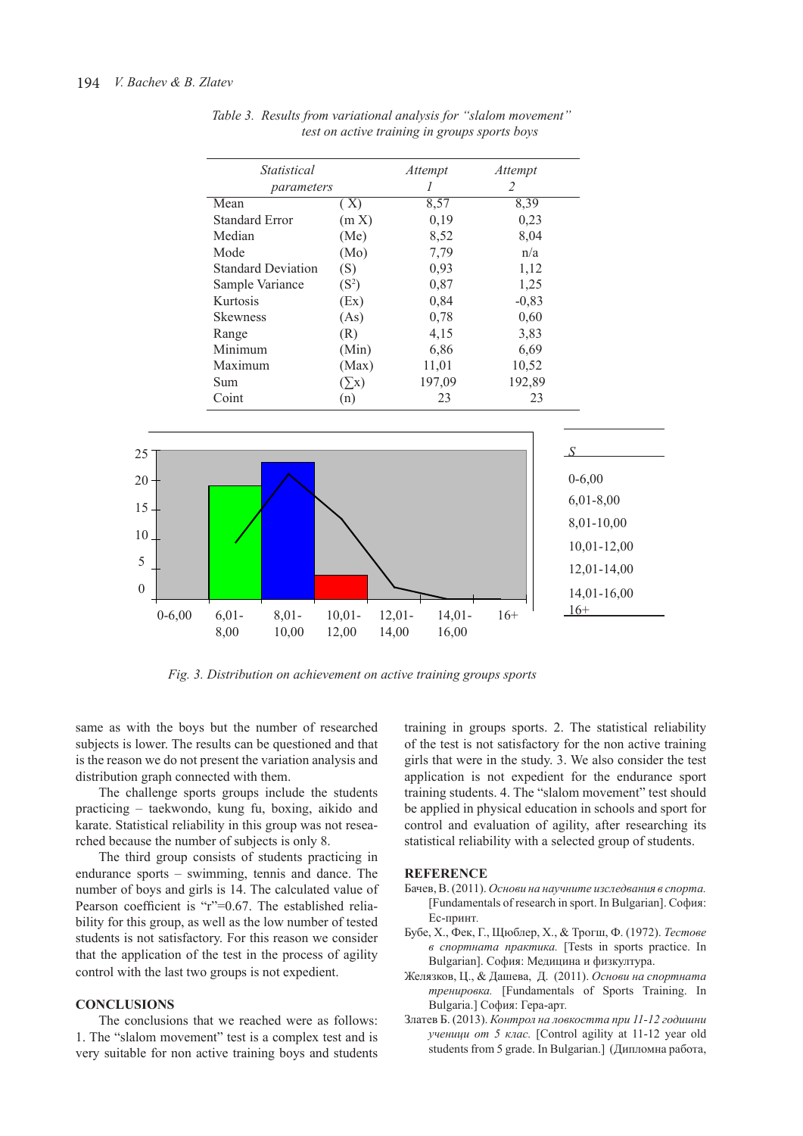| <i>Statistical</i><br>parameters |                     | Attempt | Attempt<br>2 |
|----------------------------------|---------------------|---------|--------------|
|                                  |                     |         |              |
| Mean                             | (X)                 | 8,57    | 8,39         |
| <b>Standard Error</b>            | (m X)               | 0,19    | 0,23         |
| Median                           | (Me)                | 8,52    | 8,04         |
| Mode                             | (Mo)                | 7,79    | n/a          |
| <b>Standard Deviation</b>        | (S)                 | 0,93    | 1,12         |
| Sample Variance                  | $(S^2)$             | 0,87    | 1,25         |
| Kurtosis                         | (EX)                | 0,84    | $-0,83$      |
| <b>Skewness</b>                  | (As)                | 0,78    | 0,60         |
| Range                            | (R)                 | 4,15    | 3.83         |
| Minimum                          | (Min)               | 6,86    | 6,69         |
| Maximum                          | (Max)               | 11,01   | 10,52        |
| Sum                              | $\langle x \rangle$ | 197,09  | 192,89       |
| Coint                            | (n)                 | 23      | 23           |

*Table 3. Results from variational analysis for "slalom movement" test on active training in groups sports boys*



*Fig. 3. Distribution on achievement on active training groups sports*

same as with the boys but the number of researched subjects is lower. The results can be questioned and that is the reason we do not present the variation analysis and distribution graph connected with them.

The challenge sports groups include the students practicing – taekwondo, kung fu, boxing, aikido and karate. Statistical reliability in this group was not researched because the number of subjects is only 8.

The third group consists of students practicing in endurance sports – swimming, tennis and dance. The number of boys and girls is 14. The calculated value of Pearson coefficient is "r"=0.67. The established reliability for this group, as well as the low number of tested students is not satisfactory. For this reason we consider that the application of the test in the process of agility control with the last two groups is not expedient.

#### **CONCLUSIONS**

The conclusions that we reached were as follows: 1. The "slalom movement" test is a complex test and is very suitable for non active training boys and students training in groups sports. 2. The statistical reliability of the test is not satisfactory for the non active training girls that were in the study. 3. We also consider the test application is not expedient for the endurance sport training students. 4. The "slalom movement" test should be applied in physical education in schools and sport for control and evaluation of agility, after researching its statistical reliability with a selected group of students.

#### **REFERENCE**

- Бачев, В. (2011). *Основи на научните изследвания в спорта.* [Fundamentals of research in sport. In Bulgarian]. София: Ес-принт*.*
- Бубе, Х., Фек, Г., Щюблер, Х., & Трогш, Ф. (1972). *Тестове в спортната практика.* [Tests in sports practice. In Bulgarian]. София: Медицина и физкултура.
- Желязков, Ц., & Дашева, Д. (2011). *Основи на спортната тренировка.* [Fundamentals of Sports Training. In Bulgaria.] София: Гера-арт*.*
- Златев Б. (2013). *Контрол на ловкостта при 11-12 годишни ученици от 5 клас.* [Control agility at 11-12 year old students from 5 grade. In Bulgarian.] (Дипломна работа,